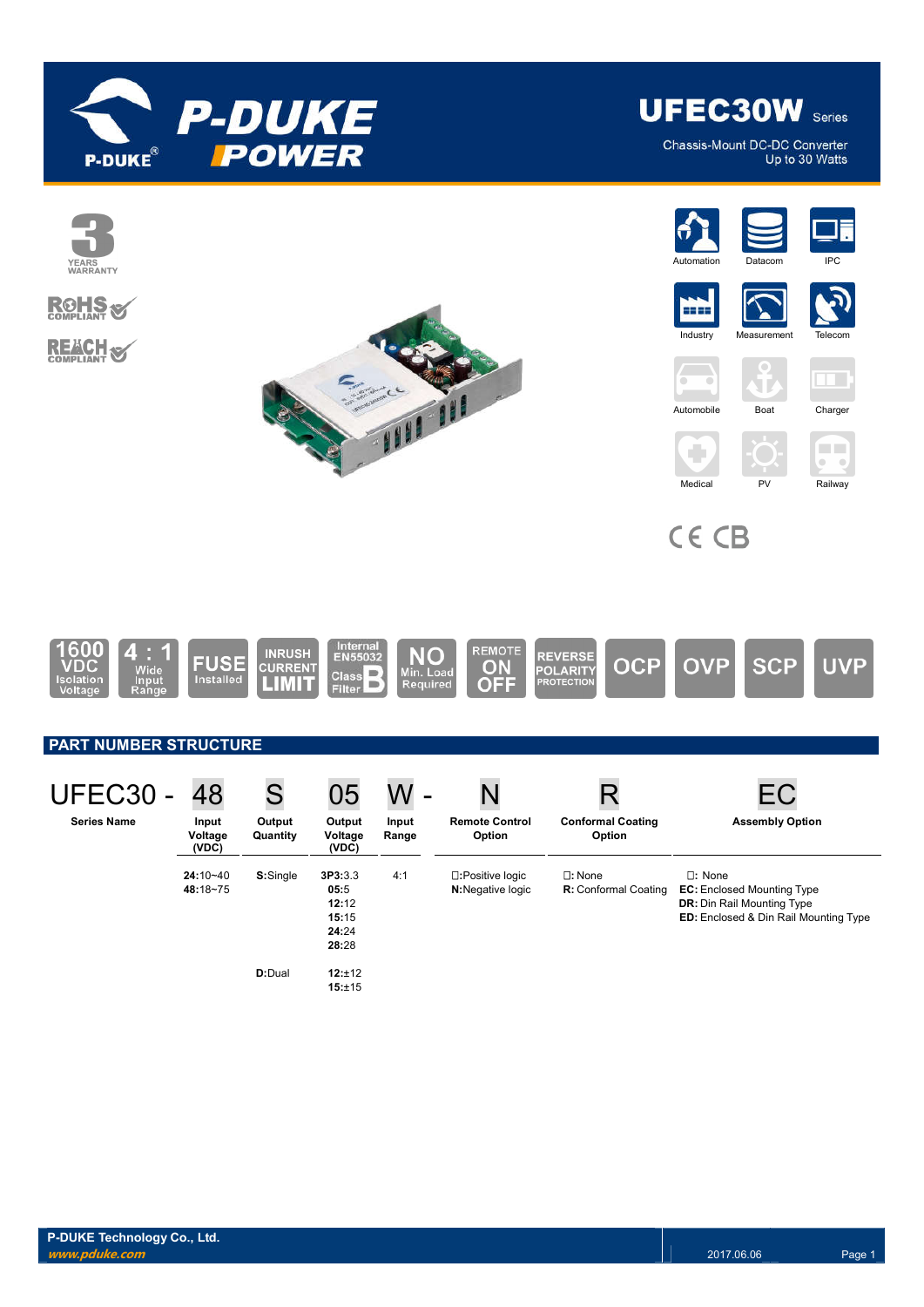

**UFEC30W** Series

Chassis-Mount DC-DC Converter Up to 30 Watts

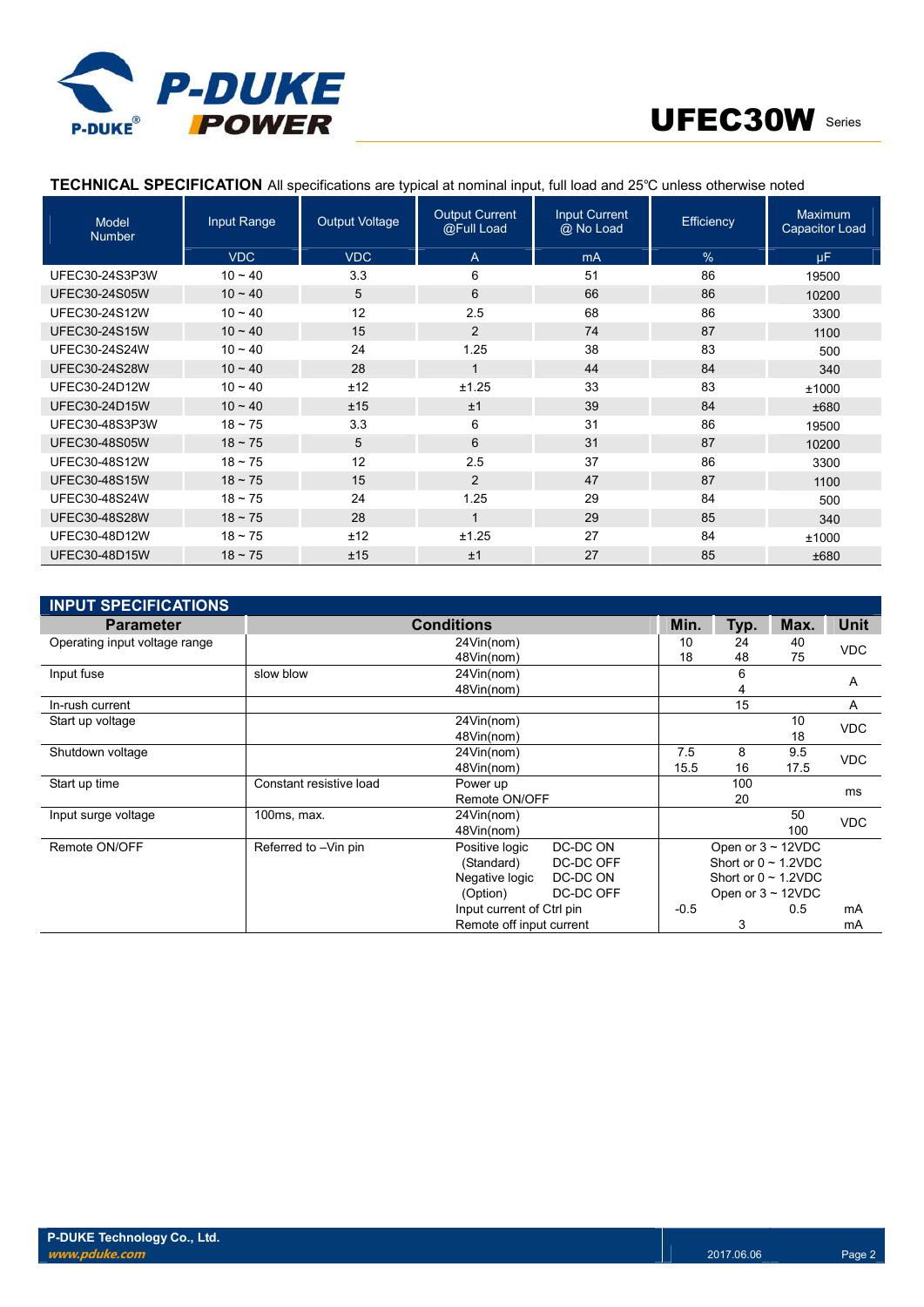



# **TECHNICAL SPECIFICATION** All specifications are typical at nominal input, full load and 25℃ unless otherwise noted

| Model<br><b>Number</b> | Input Range  | Output Voltage | <b>Output Current</b><br>@Full Load | <b>Input Current</b><br>@ No Load | Efficiency | Maximum<br><b>Capacitor Load</b> |
|------------------------|--------------|----------------|-------------------------------------|-----------------------------------|------------|----------------------------------|
|                        | <b>VDC</b>   | <b>VDC</b>     | $\overline{A}$                      | mA                                | $\%$       | <b>uF</b>                        |
| UFEC30-24S3P3W         | $10 - 40$    | 3.3            | 6                                   | 51                                | 86         | 19500                            |
| <b>UFEC30-24S05W</b>   | $10 - 40$    | 5              | 6                                   | 66                                | 86         | 10200                            |
| UFEC30-24S12W          | $10 - 40$    | 12             | 2.5                                 | 68                                | 86         | 3300                             |
| <b>UFEC30-24S15W</b>   | $10 \sim 40$ | 15             | $\overline{2}$                      | 74                                | 87         | 1100                             |
| <b>UFEC30-24S24W</b>   | $10 - 40$    | 24             | 1.25                                | 38                                | 83         | 500                              |
| <b>UFEC30-24S28W</b>   | $10 \sim 40$ | 28             | 1                                   | 44                                | 84         | 340                              |
| UFEC30-24D12W          | $10 - 40$    | ±12            | ±1.25                               | 33                                | 83         | ±1000                            |
| <b>UFEC30-24D15W</b>   | $10 \sim 40$ | ±15            | ±1                                  | 39                                | 84         | ±680                             |
| UFEC30-48S3P3W         | $18 \sim 75$ | 3.3            | 6                                   | 31                                | 86         | 19500                            |
| <b>UFEC30-48S05W</b>   | $18 \sim 75$ | 5              | 6                                   | 31                                | 87         | 10200                            |
| UFEC30-48S12W          | $18 - 75$    | 12             | 2.5                                 | 37                                | 86         | 3300                             |
| <b>UFEC30-48S15W</b>   | $18 \sim 75$ | 15             | 2                                   | 47                                | 87         | 1100                             |
| UFEC30-48S24W          | $18 - 75$    | 24             | 1.25                                | 29                                | 84         | 500                              |
| <b>UFEC30-48S28W</b>   | $18 \sim 75$ | 28             | 1                                   | 29                                | 85         | 340                              |
| UFEC30-48D12W          | $18 - 75$    | ±12            | ±1.25                               | 27                                | 84         | ±1000                            |
| <b>UFEC30-48D15W</b>   | $18 \sim 75$ | ±15            | ±1                                  | 27                                | 85         | ±680                             |

| <b>INPUT SPECIFICATIONS</b>   |                         |                            |           |                         |                           |            |             |  |
|-------------------------------|-------------------------|----------------------------|-----------|-------------------------|---------------------------|------------|-------------|--|
| <b>Parameter</b>              | <b>Conditions</b>       |                            |           | Min.                    | Typ.                      | Max.       | <b>Unit</b> |  |
| Operating input voltage range | 24Vin(nom)              |                            | 10        | 24                      | 40                        | <b>VDC</b> |             |  |
|                               |                         | 48Vin(nom)                 |           | 18                      | 48                        | 75         |             |  |
| Input fuse                    | slow blow               | 24Vin(nom)                 |           |                         | 6                         |            | A           |  |
|                               |                         | 48Vin(nom)                 |           |                         | 4                         |            |             |  |
| In-rush current               |                         |                            |           |                         | 15                        |            | A           |  |
| Start up voltage              |                         | 24Vin(nom)                 |           |                         |                           | 10         | <b>VDC</b>  |  |
|                               |                         | 48Vin(nom)                 |           |                         |                           | 18         |             |  |
| Shutdown voltage              |                         | 24Vin(nom)                 |           | 7.5                     | 8                         | 9.5        | <b>VDC</b>  |  |
|                               |                         | 48Vin(nom)                 |           | 15.5                    | 16                        | 17.5       |             |  |
| Start up time                 | Constant resistive load | Power up                   |           |                         | 100                       |            | ms          |  |
|                               |                         | Remote ON/OFF              |           |                         | 20                        |            |             |  |
| Input surge voltage           | 100ms, max.             | 24Vin(nom)                 |           |                         |                           | 50         | <b>VDC</b>  |  |
|                               |                         | 48Vin(nom)                 |           |                         |                           | 100        |             |  |
| Remote ON/OFF                 | Referred to -Vin pin    | DC-DC ON<br>Positive logic |           | Open or $3 \sim 12$ VDC |                           |            |             |  |
|                               |                         | (Standard)                 | DC-DC OFF |                         | Short or $0 \sim 1.2$ VDC |            |             |  |
|                               |                         | Negative logic             | DC-DC ON  |                         | Short or $0 \sim 1.2$ VDC |            |             |  |
|                               | DC-DC OFF<br>(Option)   |                            |           |                         | Open or $3 \sim 12$ VDC   |            |             |  |
|                               |                         | Input current of Ctrl pin  |           | $-0.5$                  |                           | 0.5        | mA          |  |
|                               |                         | Remote off input current   |           |                         | 3                         |            | mA          |  |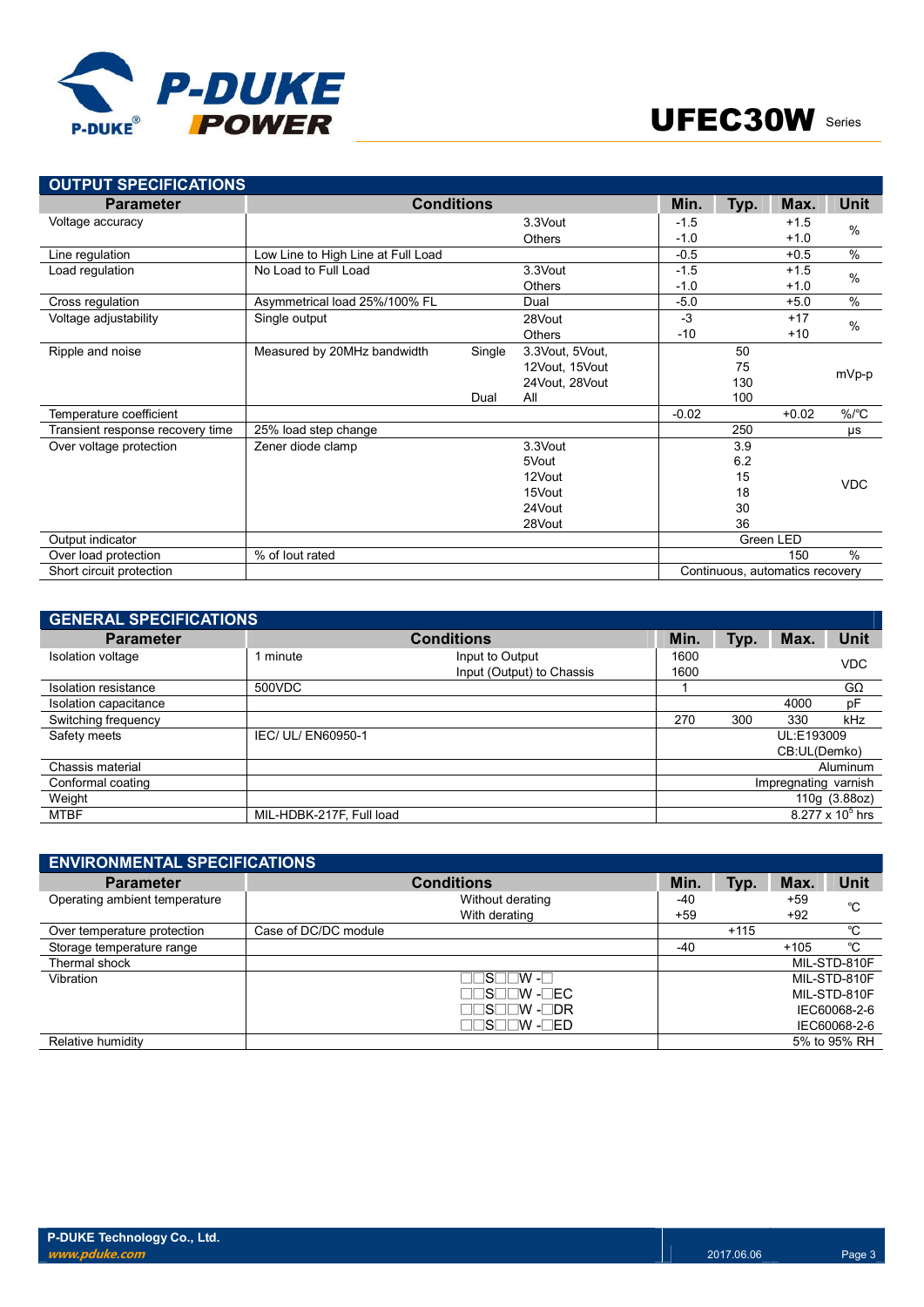

| <b>OUTPUT SPECIFICATIONS</b>     |                                    |        |                 |         |      |                                 |               |
|----------------------------------|------------------------------------|--------|-----------------|---------|------|---------------------------------|---------------|
| <b>Parameter</b>                 | <b>Conditions</b>                  |        |                 | Min.    | Typ. | Max.                            | <b>Unit</b>   |
| Voltage accuracy                 |                                    |        | 3.3Vout         | $-1.5$  |      | $+1.5$                          | $\frac{0}{0}$ |
|                                  |                                    |        | <b>Others</b>   | $-1.0$  |      | $+1.0$                          |               |
| Line regulation                  | Low Line to High Line at Full Load |        |                 | $-0.5$  |      | $+0.5$                          | $\%$          |
| Load regulation                  | No Load to Full Load               |        | 3.3Vout         | $-1.5$  |      | $+1.5$                          | $\frac{0}{0}$ |
|                                  |                                    |        | <b>Others</b>   | $-1.0$  |      | $+1.0$                          |               |
| Cross regulation                 | Asymmetrical load 25%/100% FL      |        | Dual            | $-5.0$  |      | $+5.0$                          | $\frac{0}{0}$ |
| Voltage adjustability            | Single output                      |        | 28Vout          | $-3$    |      | $+17$                           | $\%$          |
|                                  |                                    |        | <b>Others</b>   | $-10$   |      | $+10$                           |               |
| Ripple and noise                 | Measured by 20MHz bandwidth        | Single | 3.3Vout, 5Vout, |         | 50   |                                 |               |
|                                  |                                    |        | 12Vout, 15Vout  |         | 75   |                                 | mVp-p         |
|                                  |                                    |        | 24Vout, 28Vout  |         | 130  |                                 |               |
|                                  |                                    | Dual   | All             |         | 100  |                                 |               |
| Temperature coefficient          |                                    |        |                 | $-0.02$ |      | $+0.02$                         | $\%$ /°C      |
| Transient response recovery time | 25% load step change               |        |                 |         | 250  |                                 | μs            |
| Over voltage protection          | Zener diode clamp                  |        | 3.3Vout         |         | 3.9  |                                 |               |
|                                  |                                    |        | 5Vout           |         | 6.2  |                                 |               |
|                                  |                                    |        | 12Vout          |         | 15   |                                 | <b>VDC</b>    |
|                                  |                                    |        | 15Vout          |         | 18   |                                 |               |
|                                  |                                    |        | 24Vout          |         | 30   |                                 |               |
|                                  |                                    |        | 28Vout          |         | 36   |                                 |               |
| Output indicator                 |                                    |        |                 |         |      | Green LED                       |               |
| Over load protection             | % of lout rated                    |        |                 |         |      | 150                             | $\frac{0}{0}$ |
| Short circuit protection         |                                    |        |                 |         |      | Continuous, automatics recovery |               |

| <b>GENERAL SPECIFICATIONS</b> |                          |                                              |                      |      |              |                         |
|-------------------------------|--------------------------|----------------------------------------------|----------------------|------|--------------|-------------------------|
| <b>Parameter</b>              |                          | <b>Conditions</b>                            | Min.                 | Typ. | Max.         | <b>Unit</b>             |
| Isolation voltage             | minute                   | Input to Output<br>Input (Output) to Chassis | 1600<br>1600         |      |              | <b>VDC</b>              |
| Isolation resistance          | 500VDC                   |                                              |                      |      |              | $G\Omega$               |
| Isolation capacitance         |                          |                                              |                      |      | 4000         | pF                      |
| Switching frequency           |                          |                                              | 270                  | 300  | 330          | kHz                     |
| Safety meets                  | IEC/ UL/ EN60950-1       |                                              |                      |      | UL:E193009   |                         |
|                               |                          |                                              |                      |      | CB:UL(Demko) |                         |
| Chassis material              |                          |                                              |                      |      |              | Aluminum                |
| Conformal coating             |                          |                                              | Impregnating varnish |      |              |                         |
| Weight                        |                          |                                              |                      |      |              | 110g (3.88oz)           |
| <b>MTBF</b>                   | MIL-HDBK-217F, Full load |                                              |                      |      |              | $8.277 \times 10^5$ hrs |

| <b>ENVIRONMENTAL SPECIFICATIONS</b> |                      |       |        |        |              |
|-------------------------------------|----------------------|-------|--------|--------|--------------|
| <b>Parameter</b>                    | <b>Conditions</b>    | Min.  | Typ.   | Max.   | <b>Unit</b>  |
| Operating ambient temperature       | Without derating     | $-40$ |        | +59    | °C           |
|                                     | With derating        | $+59$ |        | $+92$  |              |
| Over temperature protection         | Case of DC/DC module |       | $+115$ |        | °C           |
| Storage temperature range           |                      | $-40$ |        | $+105$ | ℃            |
| Thermal shock                       |                      |       |        |        | MIL-STD-810F |
| Vibration                           | NS⊟⊤W -⊟             |       |        |        | MIL-STD-810F |
|                                     | ∏S⊟⊟W -⊟EC           |       |        |        | MIL-STD-810F |
|                                     | ∏N -⊟DR              |       |        |        | IEC60068-2-6 |
|                                     | ∏NS⊟⊟W -⊟ED          |       |        |        | IEC60068-2-6 |
| Relative humidity                   |                      |       |        |        | 5% to 95% RH |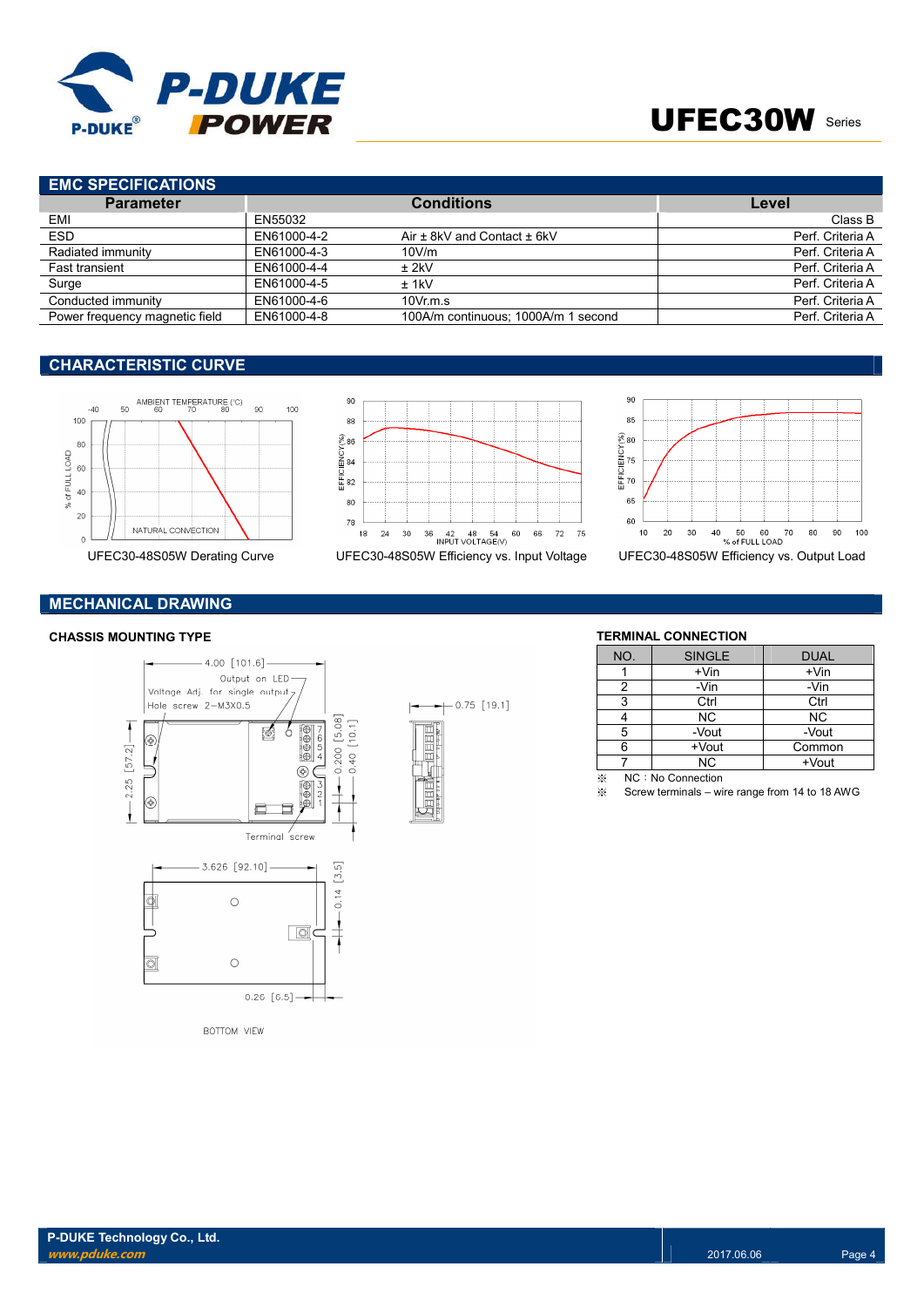

# UFEC30W Series

# **EMC SPECIFICATIONS**

| <b>Parameter</b>               |             | <b>Conditions</b>                   | Level            |
|--------------------------------|-------------|-------------------------------------|------------------|
| EMI                            | EN55032     |                                     | Class B          |
| <b>ESD</b>                     | EN61000-4-2 | Air $\pm$ 8kV and Contact $\pm$ 6kV | Perf. Criteria A |
| Radiated immunity              | EN61000-4-3 | 10V/m                               | Perf. Criteria A |
| Fast transient                 | EN61000-4-4 | $±$ 2kV                             | Perf. Criteria A |
| Surge                          | EN61000-4-5 | $±$ 1kV                             | Perf. Criteria A |
| Conducted immunity             | EN61000-4-6 | $10Vr$ m.s.                         | Perf. Criteria A |
| Power frequency magnetic field | EN61000-4-8 | 100A/m continuous: 1000A/m 1 second | Perf. Criteria A |

## **CHARACTERISTIC CURVE**







# **MECHANICAL DRAWING**



 $+$  0.75 [19.1]

### **CHASSIS MOUNTING TYPE TERMINAL CONNECTION**

| NO. | <b>SINGLE</b> | <b>DUAL</b> |
|-----|---------------|-------------|
|     | $+V$ in       | $+V$ in     |
| 2   | -Vin          | -Vin        |
| 3   | Ctrl          | Ctrl        |
|     | <b>NC</b>     | <b>NC</b>   |
| 5   | -Vout         | -Vout       |
| 6   | +Vout         | Common      |
|     | NC.           | +Vout       |

※ NC:No Connection

※ Screw terminals – wire range from 14 to 18 AWG

**BOTTOM VIEW**